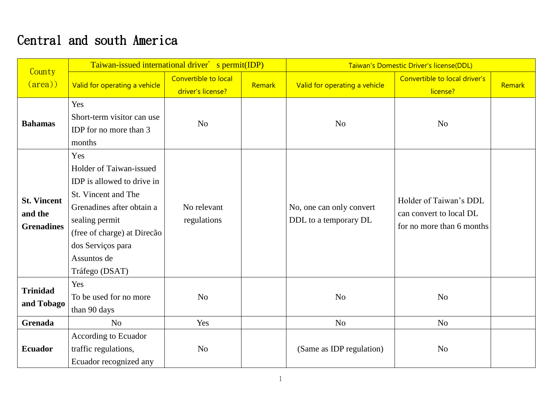## Central and south America

| County                                             | Taiwan-issued international driver' s permit(IDP)                                                                                                                                                                       |                                           |        | Taiwan's Domestic Driver's license(DDL)           |                                                                                |        |
|----------------------------------------------------|-------------------------------------------------------------------------------------------------------------------------------------------------------------------------------------------------------------------------|-------------------------------------------|--------|---------------------------------------------------|--------------------------------------------------------------------------------|--------|
| $(\text{area})$                                    | Valid for operating a vehicle                                                                                                                                                                                           | Convertible to local<br>driver's license? | Remark | Valid for operating a vehicle                     | Convertible to local driver's<br>license?                                      | Remark |
| <b>Bahamas</b>                                     | Yes<br>Short-term visitor can use<br>IDP for no more than 3<br>months                                                                                                                                                   | N <sub>o</sub>                            |        | N <sub>o</sub>                                    | N <sub>o</sub>                                                                 |        |
| <b>St. Vincent</b><br>and the<br><b>Grenadines</b> | Yes<br>Holder of Taiwan-issued<br>IDP is allowed to drive in<br>St. Vincent and The<br>Grenadines after obtain a<br>sealing permit<br>(free of charge) at Direcão<br>dos Serviços para<br>Assuntos de<br>Tráfego (DSAT) | No relevant<br>regulations                |        | No, one can only convert<br>DDL to a temporary DL | Holder of Taiwan's DDL<br>can convert to local DL<br>for no more than 6 months |        |
| <b>Trinidad</b><br>and Tobago                      | Yes<br>To be used for no more<br>than 90 days                                                                                                                                                                           | N <sub>o</sub>                            |        | N <sub>o</sub>                                    | N <sub>o</sub>                                                                 |        |
| <b>Grenada</b>                                     | N <sub>o</sub>                                                                                                                                                                                                          | Yes                                       |        | N <sub>o</sub>                                    | N <sub>o</sub>                                                                 |        |
| <b>Ecuador</b>                                     | According to Ecuador<br>traffic regulations,<br>Ecuador recognized any                                                                                                                                                  | N <sub>o</sub>                            |        | (Same as IDP regulation)                          | N <sub>o</sub>                                                                 |        |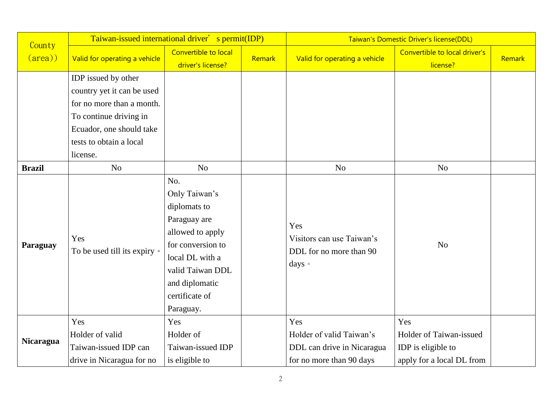| County           | Taiwan-issued international driver' s permit(IDP)                            |                                                                                                                                                                                       |        | Taiwan's Domestic Driver's license(DDL)                                                   |                                                                                   |        |
|------------------|------------------------------------------------------------------------------|---------------------------------------------------------------------------------------------------------------------------------------------------------------------------------------|--------|-------------------------------------------------------------------------------------------|-----------------------------------------------------------------------------------|--------|
| $(\text{area})$  | Valid for operating a vehicle                                                | Convertible to local<br>driver's license?                                                                                                                                             | Remark | Valid for operating a vehicle                                                             | Convertible to local driver's<br>license?                                         | Remark |
|                  | IDP issued by other                                                          |                                                                                                                                                                                       |        |                                                                                           |                                                                                   |        |
|                  | country yet it can be used                                                   |                                                                                                                                                                                       |        |                                                                                           |                                                                                   |        |
|                  | for no more than a month.                                                    |                                                                                                                                                                                       |        |                                                                                           |                                                                                   |        |
|                  | To continue driving in                                                       |                                                                                                                                                                                       |        |                                                                                           |                                                                                   |        |
|                  | Ecuador, one should take                                                     |                                                                                                                                                                                       |        |                                                                                           |                                                                                   |        |
|                  | tests to obtain a local                                                      |                                                                                                                                                                                       |        |                                                                                           |                                                                                   |        |
|                  | license.                                                                     |                                                                                                                                                                                       |        |                                                                                           |                                                                                   |        |
| <b>Brazil</b>    | N <sub>o</sub>                                                               | N <sub>o</sub>                                                                                                                                                                        |        | N <sub>o</sub>                                                                            | No                                                                                |        |
| Paraguay         | Yes<br>To be used till its expiry •                                          | No.<br>Only Taiwan's<br>diplomats to<br>Paraguay are<br>allowed to apply<br>for conversion to<br>local DL with a<br>valid Taiwan DDL<br>and diplomatic<br>certificate of<br>Paraguay. |        | Yes<br>Visitors can use Taiwan's<br>DDL for no more than 90<br>days •                     | N <sub>o</sub>                                                                    |        |
| <b>Nicaragua</b> | Yes<br>Holder of valid<br>Taiwan-issued IDP can<br>drive in Nicaragua for no | Yes<br>Holder of<br>Taiwan-issued IDP<br>is eligible to                                                                                                                               |        | Yes<br>Holder of valid Taiwan's<br>DDL can drive in Nicaragua<br>for no more than 90 days | Yes<br>Holder of Taiwan-issued<br>IDP is eligible to<br>apply for a local DL from |        |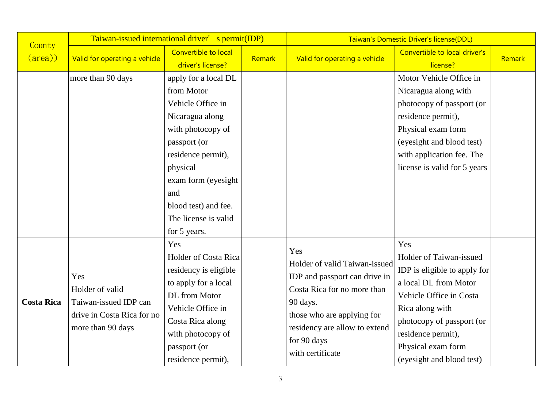| County            | Taiwan-issued international driver' s permit(IDP)                                                  |                                                                                                                                                                                                                                                 |        | Taiwan's Domestic Driver's license(DDL)                                                                                                                                                                            |                                                                                                                                                                                                                                             |        |  |
|-------------------|----------------------------------------------------------------------------------------------------|-------------------------------------------------------------------------------------------------------------------------------------------------------------------------------------------------------------------------------------------------|--------|--------------------------------------------------------------------------------------------------------------------------------------------------------------------------------------------------------------------|---------------------------------------------------------------------------------------------------------------------------------------------------------------------------------------------------------------------------------------------|--------|--|
| $(\text{area})$   | Valid for operating a vehicle                                                                      | Convertible to local<br>driver's license?                                                                                                                                                                                                       | Remark | Valid for operating a vehicle                                                                                                                                                                                      | Convertible to local driver's<br>license?                                                                                                                                                                                                   | Remark |  |
|                   | more than 90 days                                                                                  | apply for a local DL<br>from Motor<br>Vehicle Office in<br>Nicaragua along<br>with photocopy of<br>passport (or<br>residence permit),<br>physical<br>exam form (eyesight<br>and<br>blood test) and fee.<br>The license is valid<br>for 5 years. |        |                                                                                                                                                                                                                    | Motor Vehicle Office in<br>Nicaragua along with<br>photocopy of passport (or<br>residence permit),<br>Physical exam form<br>(eyesight and blood test)<br>with application fee. The<br>license is valid for 5 years                          |        |  |
| <b>Costa Rica</b> | Yes<br>Holder of valid<br>Taiwan-issued IDP can<br>drive in Costa Rica for no<br>more than 90 days | Yes<br>Holder of Costa Rica<br>residency is eligible<br>to apply for a local<br>DL from Motor<br>Vehicle Office in<br>Costa Rica along<br>with photocopy of<br>passport (or<br>residence permit),                                               |        | Yes<br>Holder of valid Taiwan-issued<br>IDP and passport can drive in<br>Costa Rica for no more than<br>90 days.<br>those who are applying for<br>residency are allow to extend<br>for 90 days<br>with certificate | Yes<br>Holder of Taiwan-issued<br>IDP is eligible to apply for<br>a local DL from Motor<br>Vehicle Office in Costa<br>Rica along with<br>photocopy of passport (or<br>residence permit),<br>Physical exam form<br>(eyesight and blood test) |        |  |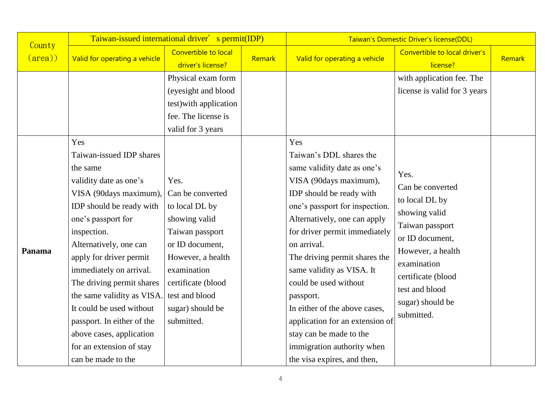| County          | Taiwan-issued international driver' s permit(IDP)                                                                                                                                                                                                                                                                                                                                                                                            |                                                                                                                                                                                                                 |        | Taiwan's Domestic Driver's license(DDL)                                                                                                                                                                                                                                                                                                                                                                                                                                                        |                                                                                                                                                                                                                 |        |  |
|-----------------|----------------------------------------------------------------------------------------------------------------------------------------------------------------------------------------------------------------------------------------------------------------------------------------------------------------------------------------------------------------------------------------------------------------------------------------------|-----------------------------------------------------------------------------------------------------------------------------------------------------------------------------------------------------------------|--------|------------------------------------------------------------------------------------------------------------------------------------------------------------------------------------------------------------------------------------------------------------------------------------------------------------------------------------------------------------------------------------------------------------------------------------------------------------------------------------------------|-----------------------------------------------------------------------------------------------------------------------------------------------------------------------------------------------------------------|--------|--|
| $(\text{area})$ | Valid for operating a vehicle                                                                                                                                                                                                                                                                                                                                                                                                                | Convertible to local<br>driver's license?                                                                                                                                                                       | Remark | Valid for operating a vehicle                                                                                                                                                                                                                                                                                                                                                                                                                                                                  | Convertible to local driver's<br>license?                                                                                                                                                                       | Remark |  |
|                 | Yes                                                                                                                                                                                                                                                                                                                                                                                                                                          | Physical exam form<br>(eyesight and blood<br>test) with application<br>fee. The license is<br>valid for 3 years                                                                                                 |        | Yes                                                                                                                                                                                                                                                                                                                                                                                                                                                                                            | with application fee. The<br>license is valid for 3 years                                                                                                                                                       |        |  |
| Panama          | Taiwan-issued IDP shares<br>the same<br>validity date as one's<br>VISA (90days maximum),<br>IDP should be ready with<br>one's passport for<br>inspection.<br>Alternatively, one can<br>apply for driver permit<br>immediately on arrival.<br>The driving permit shares<br>the same validity as VISA.<br>It could be used without<br>passport. In either of the<br>above cases, application<br>for an extension of stay<br>can be made to the | Yes.<br>Can be converted<br>to local DL by<br>showing valid<br>Taiwan passport<br>or ID document,<br>However, a health<br>examination<br>certificate (blood<br>test and blood<br>sugar) should be<br>submitted. |        | Taiwan's DDL shares the<br>same validity date as one's<br>VISA (90days maximum),<br>IDP should be ready with<br>one's passport for inspection.<br>Alternatively, one can apply<br>for driver permit immediately<br>on arrival.<br>The driving permit shares the<br>same validity as VISA. It<br>could be used without<br>passport.<br>In either of the above cases,<br>application for an extension of<br>stay can be made to the<br>immigration authority when<br>the visa expires, and then, | Yes.<br>Can be converted<br>to local DL by<br>showing valid<br>Taiwan passport<br>or ID document,<br>However, a health<br>examination<br>certificate (blood<br>test and blood<br>sugar) should be<br>submitted. |        |  |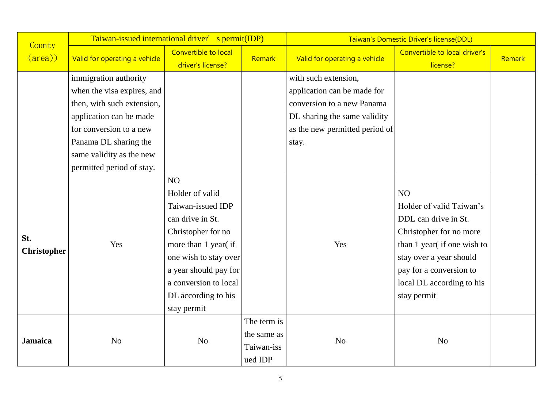| County                    | Taiwan-issued international driver' s permit(IDP) |                                                                                                                                                                                                                               |                                                     | Taiwan's Domestic Driver's license(DDL) |                                                                                                                                                                                                                    |        |  |
|---------------------------|---------------------------------------------------|-------------------------------------------------------------------------------------------------------------------------------------------------------------------------------------------------------------------------------|-----------------------------------------------------|-----------------------------------------|--------------------------------------------------------------------------------------------------------------------------------------------------------------------------------------------------------------------|--------|--|
| $(\text{area})$           | Valid for operating a vehicle                     | Convertible to local<br>driver's license?                                                                                                                                                                                     | Remark                                              | Valid for operating a vehicle           | Convertible to local driver's<br>license?                                                                                                                                                                          | Remark |  |
|                           | immigration authority                             |                                                                                                                                                                                                                               |                                                     | with such extension,                    |                                                                                                                                                                                                                    |        |  |
|                           | when the visa expires, and                        |                                                                                                                                                                                                                               |                                                     | application can be made for             |                                                                                                                                                                                                                    |        |  |
|                           | then, with such extension,                        |                                                                                                                                                                                                                               |                                                     | conversion to a new Panama              |                                                                                                                                                                                                                    |        |  |
|                           | application can be made                           |                                                                                                                                                                                                                               |                                                     | DL sharing the same validity            |                                                                                                                                                                                                                    |        |  |
|                           | for conversion to a new                           |                                                                                                                                                                                                                               |                                                     | as the new permitted period of          |                                                                                                                                                                                                                    |        |  |
|                           | Panama DL sharing the                             |                                                                                                                                                                                                                               |                                                     | stay.                                   |                                                                                                                                                                                                                    |        |  |
|                           | same validity as the new                          |                                                                                                                                                                                                                               |                                                     |                                         |                                                                                                                                                                                                                    |        |  |
|                           | permitted period of stay.                         |                                                                                                                                                                                                                               |                                                     |                                         |                                                                                                                                                                                                                    |        |  |
| St.<br><b>Christopher</b> | Yes                                               | NO<br>Holder of valid<br>Taiwan-issued IDP<br>can drive in St.<br>Christopher for no<br>more than 1 year (if<br>one wish to stay over<br>a year should pay for<br>a conversion to local<br>DL according to his<br>stay permit |                                                     | Yes                                     | NO<br>Holder of valid Taiwan's<br>DDL can drive in St.<br>Christopher for no more<br>than 1 year (if one wish to<br>stay over a year should<br>pay for a conversion to<br>local DL according to his<br>stay permit |        |  |
| <b>Jamaica</b>            | N <sub>o</sub>                                    | No                                                                                                                                                                                                                            | The term is<br>the same as<br>Taiwan-iss<br>ued IDP | N <sub>o</sub>                          | N <sub>o</sub>                                                                                                                                                                                                     |        |  |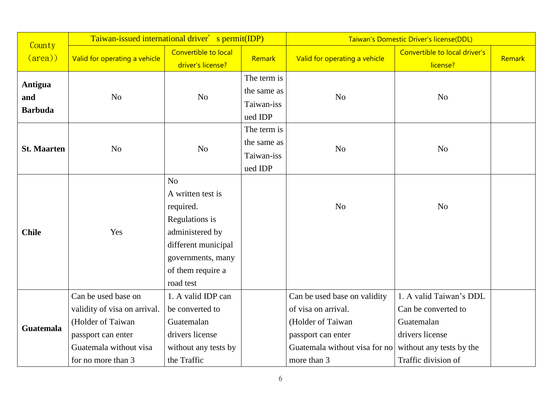|                                  | Taiwan-issued international driver' s permit(IDP)                                                                                              |                                                                                                                                                                     |                                                     | Taiwan's Domestic Driver's license(DDL)                                                                                                        |                                                                                                                                    |        |
|----------------------------------|------------------------------------------------------------------------------------------------------------------------------------------------|---------------------------------------------------------------------------------------------------------------------------------------------------------------------|-----------------------------------------------------|------------------------------------------------------------------------------------------------------------------------------------------------|------------------------------------------------------------------------------------------------------------------------------------|--------|
| County<br>$(\text{area})$        | Valid for operating a vehicle                                                                                                                  | Convertible to local<br>driver's license?                                                                                                                           | Remark                                              | Valid for operating a vehicle                                                                                                                  | Convertible to local driver's<br>license?                                                                                          | Remark |
| Antigua<br>and<br><b>Barbuda</b> | N <sub>o</sub>                                                                                                                                 | N <sub>o</sub>                                                                                                                                                      | The term is<br>the same as<br>Taiwan-iss<br>ued IDP | N <sub>o</sub>                                                                                                                                 | No                                                                                                                                 |        |
| <b>St. Maarten</b>               | N <sub>o</sub>                                                                                                                                 | N <sub>o</sub>                                                                                                                                                      | The term is<br>the same as<br>Taiwan-iss<br>ued IDP | N <sub>o</sub>                                                                                                                                 | No                                                                                                                                 |        |
| <b>Chile</b>                     | Yes                                                                                                                                            | N <sub>o</sub><br>A written test is<br>required.<br>Regulations is<br>administered by<br>different municipal<br>governments, many<br>of them require a<br>road test |                                                     | N <sub>o</sub>                                                                                                                                 | N <sub>o</sub>                                                                                                                     |        |
| <b>Guatemala</b>                 | Can be used base on<br>validity of visa on arrival.<br>(Holder of Taiwan<br>passport can enter<br>Guatemala without visa<br>for no more than 3 | 1. A valid IDP can<br>be converted to<br>Guatemalan<br>drivers license<br>without any tests by<br>the Traffic                                                       |                                                     | Can be used base on validity<br>of visa on arrival.<br>(Holder of Taiwan<br>passport can enter<br>Guatemala without visa for no<br>more than 3 | 1. A valid Taiwan's DDL<br>Can be converted to<br>Guatemalan<br>drivers license<br>without any tests by the<br>Traffic division of |        |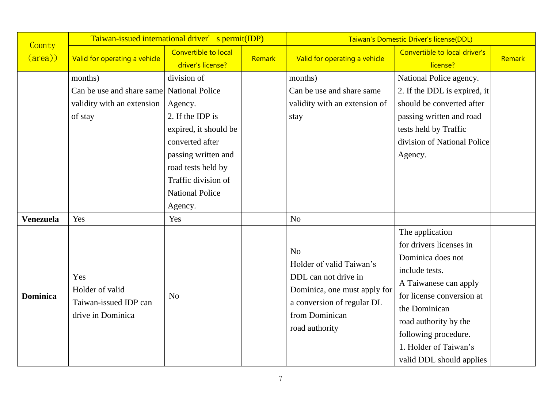| County           | Taiwan-issued international driver' s permit(IDP)                                             |                                                                                                                                                                                                 |        | Taiwan's Domestic Driver's license(DDL)                                                                                                                              |                                                                                                                                                                                                                                                                |        |  |
|------------------|-----------------------------------------------------------------------------------------------|-------------------------------------------------------------------------------------------------------------------------------------------------------------------------------------------------|--------|----------------------------------------------------------------------------------------------------------------------------------------------------------------------|----------------------------------------------------------------------------------------------------------------------------------------------------------------------------------------------------------------------------------------------------------------|--------|--|
| $(\text{area})$  | Valid for operating a vehicle                                                                 | Convertible to local<br>driver's license?                                                                                                                                                       | Remark | Valid for operating a vehicle                                                                                                                                        | Convertible to local driver's<br>license?                                                                                                                                                                                                                      | Remark |  |
|                  | months)<br>Can be use and share same National Police<br>validity with an extension<br>of stay | division of<br>Agency.<br>2. If the IDP is<br>expired, it should be<br>converted after<br>passing written and<br>road tests held by<br>Traffic division of<br><b>National Police</b><br>Agency. |        | months)<br>Can be use and share same<br>validity with an extension of<br>stay                                                                                        | National Police agency.<br>2. If the DDL is expired, it<br>should be converted after<br>passing written and road<br>tests held by Traffic<br>division of National Police<br>Agency.                                                                            |        |  |
| <b>Venezuela</b> | Yes                                                                                           | Yes                                                                                                                                                                                             |        | N <sub>o</sub>                                                                                                                                                       |                                                                                                                                                                                                                                                                |        |  |
| <b>Dominica</b>  | Yes<br>Holder of valid<br>Taiwan-issued IDP can<br>drive in Dominica                          | N <sub>o</sub>                                                                                                                                                                                  |        | N <sub>o</sub><br>Holder of valid Taiwan's<br>DDL can not drive in<br>Dominica, one must apply for<br>a conversion of regular DL<br>from Dominican<br>road authority | The application<br>for drivers licenses in<br>Dominica does not<br>include tests.<br>A Taiwanese can apply<br>for license conversion at<br>the Dominican<br>road authority by the<br>following procedure.<br>1. Holder of Taiwan's<br>valid DDL should applies |        |  |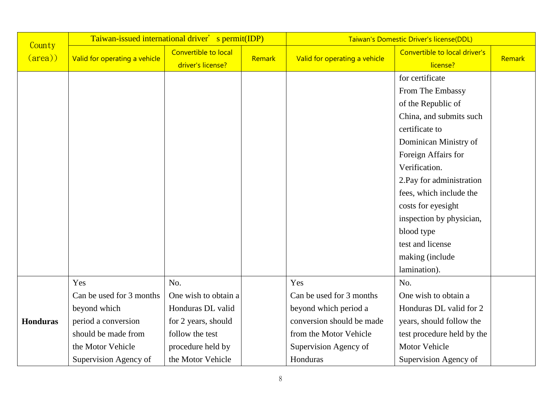|                           | Taiwan-issued international driver' s permit(IDP) |                                           |        | Taiwan's Domestic Driver's license(DDL) |                                           |               |
|---------------------------|---------------------------------------------------|-------------------------------------------|--------|-----------------------------------------|-------------------------------------------|---------------|
| County<br>$(\text{area})$ | Valid for operating a vehicle                     | Convertible to local<br>driver's license? | Remark | Valid for operating a vehicle           | Convertible to local driver's<br>license? | <b>Remark</b> |
|                           |                                                   |                                           |        |                                         | for certificate                           |               |
|                           |                                                   |                                           |        |                                         | From The Embassy                          |               |
|                           |                                                   |                                           |        |                                         | of the Republic of                        |               |
|                           |                                                   |                                           |        |                                         | China, and submits such                   |               |
|                           |                                                   |                                           |        |                                         | certificate to                            |               |
|                           |                                                   |                                           |        |                                         | Dominican Ministry of                     |               |
|                           |                                                   |                                           |        |                                         | Foreign Affairs for                       |               |
|                           |                                                   |                                           |        |                                         | Verification.                             |               |
|                           |                                                   |                                           |        |                                         | 2. Pay for administration                 |               |
|                           |                                                   |                                           |        |                                         | fees, which include the                   |               |
|                           |                                                   |                                           |        |                                         | costs for eyesight                        |               |
|                           |                                                   |                                           |        |                                         | inspection by physician,                  |               |
|                           |                                                   |                                           |        |                                         | blood type                                |               |
|                           |                                                   |                                           |        |                                         | test and license                          |               |
|                           |                                                   |                                           |        |                                         | making (include                           |               |
|                           |                                                   |                                           |        |                                         | lamination).                              |               |
|                           | Yes                                               | No.                                       |        | Yes                                     | No.                                       |               |
|                           | Can be used for 3 months                          | One wish to obtain a                      |        | Can be used for 3 months                | One wish to obtain a                      |               |
|                           | beyond which                                      | Honduras DL valid                         |        | beyond which period a                   | Honduras DL valid for 2                   |               |
| <b>Honduras</b>           | period a conversion                               | for 2 years, should                       |        | conversion should be made               | years, should follow the                  |               |
|                           | should be made from                               | follow the test                           |        | from the Motor Vehicle                  | test procedure held by the                |               |
|                           | the Motor Vehicle                                 | procedure held by                         |        | Supervision Agency of                   | <b>Motor Vehicle</b>                      |               |
|                           | Supervision Agency of                             | the Motor Vehicle                         |        | Honduras                                | Supervision Agency of                     |               |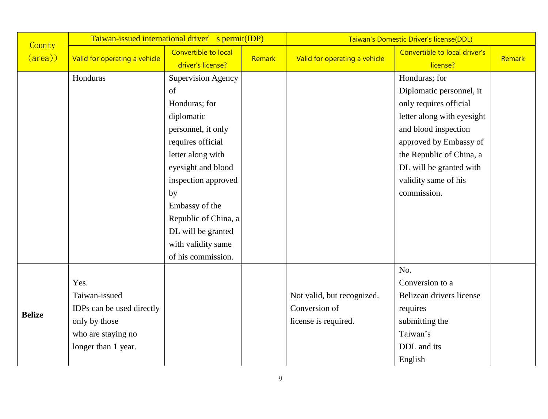| County          | Taiwan-issued international driver' s permit(IDP) |                                           |        | Taiwan's Domestic Driver's license(DDL) |                                           |        |  |
|-----------------|---------------------------------------------------|-------------------------------------------|--------|-----------------------------------------|-------------------------------------------|--------|--|
| $(\text{area})$ | Valid for operating a vehicle                     | Convertible to local<br>driver's license? | Remark | Valid for operating a vehicle           | Convertible to local driver's<br>license? | Remark |  |
|                 | Honduras                                          | <b>Supervision Agency</b>                 |        |                                         | Honduras; for                             |        |  |
|                 |                                                   | of                                        |        |                                         | Diplomatic personnel, it                  |        |  |
|                 |                                                   | Honduras; for                             |        |                                         | only requires official                    |        |  |
|                 |                                                   | diplomatic                                |        |                                         | letter along with eyesight                |        |  |
|                 |                                                   | personnel, it only                        |        |                                         | and blood inspection                      |        |  |
|                 |                                                   | requires official                         |        |                                         | approved by Embassy of                    |        |  |
|                 |                                                   | letter along with                         |        |                                         | the Republic of China, a                  |        |  |
|                 |                                                   | eyesight and blood                        |        |                                         | DL will be granted with                   |        |  |
|                 |                                                   | inspection approved                       |        |                                         | validity same of his                      |        |  |
|                 |                                                   | by                                        |        |                                         | commission.                               |        |  |
|                 |                                                   | Embassy of the                            |        |                                         |                                           |        |  |
|                 |                                                   | Republic of China, a                      |        |                                         |                                           |        |  |
|                 |                                                   | DL will be granted                        |        |                                         |                                           |        |  |
|                 |                                                   | with validity same                        |        |                                         |                                           |        |  |
|                 |                                                   | of his commission.                        |        |                                         |                                           |        |  |
|                 |                                                   |                                           |        |                                         | No.                                       |        |  |
|                 | Yes.                                              |                                           |        |                                         | Conversion to a                           |        |  |
|                 | Taiwan-issued                                     |                                           |        | Not valid, but recognized.              | Belizean drivers license                  |        |  |
| <b>Belize</b>   | IDPs can be used directly                         |                                           |        | Conversion of                           | requires                                  |        |  |
|                 | only by those                                     |                                           |        | license is required.                    | submitting the                            |        |  |
|                 | who are staying no                                |                                           |        |                                         | Taiwan's                                  |        |  |
|                 | longer than 1 year.                               |                                           |        |                                         | DDL and its                               |        |  |
|                 |                                                   |                                           |        |                                         | English                                   |        |  |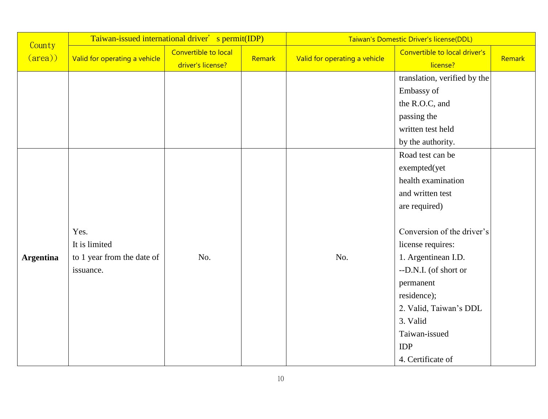|                           | Taiwan-issued international driver' s permit(IDP) |                                           |        | Taiwan's Domestic Driver's license(DDL) |                                           |        |  |
|---------------------------|---------------------------------------------------|-------------------------------------------|--------|-----------------------------------------|-------------------------------------------|--------|--|
| County<br>$(\text{area})$ | Valid for operating a vehicle                     | Convertible to local<br>driver's license? | Remark | Valid for operating a vehicle           | Convertible to local driver's<br>license? | Remark |  |
|                           |                                                   |                                           |        |                                         | translation, verified by the              |        |  |
|                           |                                                   |                                           |        |                                         | Embassy of                                |        |  |
|                           |                                                   |                                           |        |                                         | the R.O.C, and                            |        |  |
|                           |                                                   |                                           |        |                                         | passing the                               |        |  |
|                           |                                                   |                                           |        |                                         | written test held                         |        |  |
|                           |                                                   |                                           |        |                                         | by the authority.                         |        |  |
|                           |                                                   |                                           |        |                                         | Road test can be                          |        |  |
|                           |                                                   |                                           |        |                                         | exempted(yet                              |        |  |
|                           |                                                   |                                           |        |                                         | health examination                        |        |  |
|                           |                                                   |                                           |        |                                         | and written test                          |        |  |
|                           |                                                   |                                           |        |                                         | are required)                             |        |  |
|                           |                                                   |                                           |        |                                         |                                           |        |  |
|                           | Yes.                                              |                                           |        |                                         | Conversion of the driver's                |        |  |
|                           | It is limited                                     |                                           |        |                                         | license requires:                         |        |  |
| <b>Argentina</b>          | to 1 year from the date of                        | No.                                       |        | No.                                     | 1. Argentinean I.D.                       |        |  |
|                           | issuance.                                         |                                           |        |                                         | --D.N.I. (of short or                     |        |  |
|                           |                                                   |                                           |        |                                         | permanent                                 |        |  |
|                           |                                                   |                                           |        |                                         | residence);                               |        |  |
|                           |                                                   |                                           |        |                                         | 2. Valid, Taiwan's DDL                    |        |  |
|                           |                                                   |                                           |        |                                         | 3. Valid                                  |        |  |
|                           |                                                   |                                           |        |                                         | Taiwan-issued                             |        |  |
|                           |                                                   |                                           |        |                                         | <b>IDP</b>                                |        |  |
|                           |                                                   |                                           |        |                                         | 4. Certificate of                         |        |  |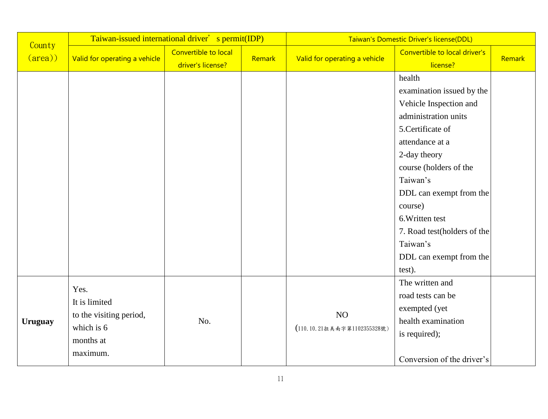|                           | Taiwan-issued international driver' s permit(IDP)                                       |                                           |        | Taiwan's Domestic Driver's license(DDL) |                                                                                                                                                                                                                                                                                                                              |        |  |
|---------------------------|-----------------------------------------------------------------------------------------|-------------------------------------------|--------|-----------------------------------------|------------------------------------------------------------------------------------------------------------------------------------------------------------------------------------------------------------------------------------------------------------------------------------------------------------------------------|--------|--|
| County<br>$(\text{area})$ | Valid for operating a vehicle                                                           | Convertible to local<br>driver's license? | Remark | Valid for operating a vehicle           | Convertible to local driver's<br>license?                                                                                                                                                                                                                                                                                    | Remark |  |
|                           |                                                                                         |                                           |        |                                         | health<br>examination issued by the<br>Vehicle Inspection and<br>administration units<br>5. Certificate of<br>attendance at a<br>2-day theory<br>course (holders of the<br>Taiwan's<br>DDL can exempt from the<br>course)<br>6. Written test<br>7. Road test(holders of the<br>Taiwan's<br>DDL can exempt from the<br>test). |        |  |
| <b>Uruguay</b>            | Yes.<br>It is limited<br>to the visiting period,<br>which is 6<br>months at<br>maximum. | No.                                       |        | NO<br>(110.10.21拉美南字第1102355328號)       | The written and<br>road tests can be<br>exempted (yet<br>health examination<br>is required);<br>Conversion of the driver's                                                                                                                                                                                                   |        |  |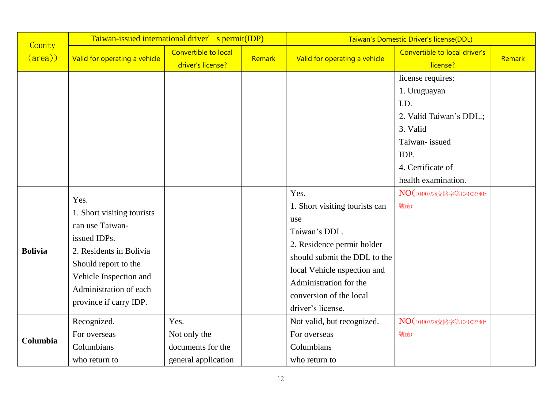| County          | Taiwan-issued international driver' s permit(IDP)                                                                                                                                                      |                                                                  |        | Taiwan's Domestic Driver's license(DDL)                                                                                                                                                                                               |                                                                                                                                                       |        |
|-----------------|--------------------------------------------------------------------------------------------------------------------------------------------------------------------------------------------------------|------------------------------------------------------------------|--------|---------------------------------------------------------------------------------------------------------------------------------------------------------------------------------------------------------------------------------------|-------------------------------------------------------------------------------------------------------------------------------------------------------|--------|
| $(\text{area})$ | Valid for operating a vehicle                                                                                                                                                                          | Convertible to local<br>driver's license?                        | Remark | Valid for operating a vehicle                                                                                                                                                                                                         | Convertible to local driver's<br>license?                                                                                                             | Remark |
|                 |                                                                                                                                                                                                        |                                                                  |        |                                                                                                                                                                                                                                       | license requires:<br>1. Uruguayan<br>I.D.<br>2. Valid Taiwan's DDL.;<br>3. Valid<br>Taiwan-issued<br>IDP.<br>4. Certificate of<br>health examination. |        |
| <b>Bolivia</b>  | Yes.<br>1. Short visiting tourists<br>can use Taiwan-<br>issued IDPs.<br>2. Residents in Bolivia<br>Should report to the<br>Vehicle Inspection and<br>Administration of each<br>province if carry IDP. |                                                                  |        | Yes.<br>1. Short visiting tourists can<br>use<br>Taiwan's DDL.<br>2. Residence permit holder<br>should submit the DDL to the<br>local Vehicle nspection and<br>Administration for the<br>conversion of the local<br>driver's license. | NO (104/07/28交路字第1040023405<br>號函)                                                                                                                    |        |
| Columbia        | Recognized.<br>For overseas<br>Columbians<br>who return to                                                                                                                                             | Yes.<br>Not only the<br>documents for the<br>general application |        | Not valid, but recognized.<br>For overseas<br>Columbians<br>who return to                                                                                                                                                             | NO (104/07/28交路字第1040023405<br>號函)                                                                                                                    |        |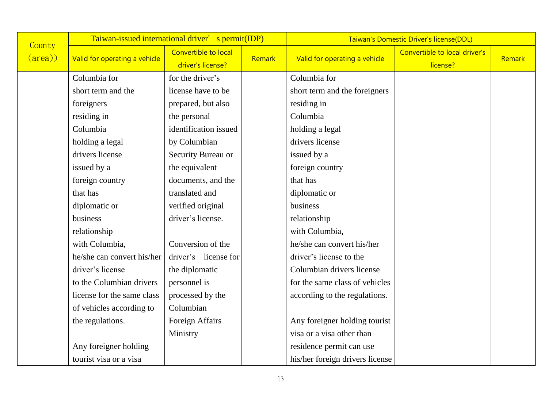| County          | Taiwan-issued international driver' s permit(IDP) |                                           |        | Taiwan's Domestic Driver's license(DDL) |                                           |        |
|-----------------|---------------------------------------------------|-------------------------------------------|--------|-----------------------------------------|-------------------------------------------|--------|
| $(\text{area})$ | Valid for operating a vehicle                     | Convertible to local<br>driver's license? | Remark | Valid for operating a vehicle           | Convertible to local driver's<br>license? | Remark |
|                 | Columbia for                                      | for the driver's                          |        | Columbia for                            |                                           |        |
|                 | short term and the                                | license have to be                        |        | short term and the foreigners           |                                           |        |
|                 | foreigners                                        | prepared, but also                        |        | residing in                             |                                           |        |
|                 | residing in                                       | the personal                              |        | Columbia                                |                                           |        |
|                 | Columbia                                          | identification issued                     |        | holding a legal                         |                                           |        |
|                 | holding a legal                                   | by Columbian                              |        | drivers license                         |                                           |        |
|                 | drivers license                                   | Security Bureau or                        |        | issued by a                             |                                           |        |
|                 | issued by a                                       | the equivalent                            |        | foreign country                         |                                           |        |
|                 | foreign country                                   | documents, and the                        |        | that has                                |                                           |        |
|                 | that has                                          | translated and                            |        | diplomatic or                           |                                           |        |
|                 | diplomatic or                                     | verified original                         |        | business                                |                                           |        |
|                 | business                                          | driver's license.                         |        | relationship                            |                                           |        |
|                 | relationship                                      |                                           |        | with Columbia,                          |                                           |        |
|                 | with Columbia,                                    | Conversion of the                         |        | he/she can convert his/her              |                                           |        |
|                 | he/she can convert his/her                        | driver's license for                      |        | driver's license to the                 |                                           |        |
|                 | driver's license                                  | the diplomatic                            |        | Columbian drivers license               |                                           |        |
|                 | to the Columbian drivers                          | personnel is                              |        | for the same class of vehicles          |                                           |        |
|                 | license for the same class                        | processed by the                          |        | according to the regulations.           |                                           |        |
|                 | of vehicles according to                          | Columbian                                 |        |                                         |                                           |        |
|                 | the regulations.                                  | Foreign Affairs                           |        | Any foreigner holding tourist           |                                           |        |
|                 |                                                   | Ministry                                  |        | visa or a visa other than               |                                           |        |
|                 | Any foreigner holding                             |                                           |        | residence permit can use                |                                           |        |
|                 | tourist visa or a visa                            |                                           |        | his/her foreign drivers license         |                                           |        |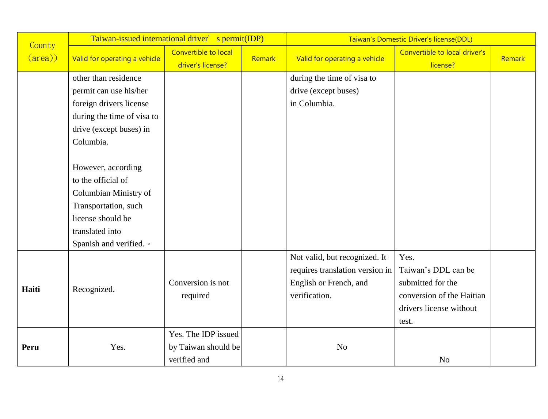| County          | Taiwan-issued international driver' s permit(IDP) |                                           |        | Taiwan's Domestic Driver's license(DDL) |                                           |        |
|-----------------|---------------------------------------------------|-------------------------------------------|--------|-----------------------------------------|-------------------------------------------|--------|
| $(\text{area})$ | Valid for operating a vehicle                     | Convertible to local<br>driver's license? | Remark | Valid for operating a vehicle           | Convertible to local driver's<br>license? | Remark |
|                 | other than residence                              |                                           |        | during the time of visa to              |                                           |        |
|                 | permit can use his/her                            |                                           |        | drive (except buses)                    |                                           |        |
|                 | foreign drivers license                           |                                           |        | in Columbia.                            |                                           |        |
|                 | during the time of visa to                        |                                           |        |                                         |                                           |        |
|                 | drive (except buses) in                           |                                           |        |                                         |                                           |        |
|                 | Columbia.                                         |                                           |        |                                         |                                           |        |
|                 |                                                   |                                           |        |                                         |                                           |        |
|                 | However, according                                |                                           |        |                                         |                                           |        |
|                 | to the official of                                |                                           |        |                                         |                                           |        |
|                 | Columbian Ministry of                             |                                           |        |                                         |                                           |        |
|                 | Transportation, such                              |                                           |        |                                         |                                           |        |
|                 | license should be                                 |                                           |        |                                         |                                           |        |
|                 | translated into                                   |                                           |        |                                         |                                           |        |
|                 | Spanish and verified. •                           |                                           |        |                                         |                                           |        |
|                 |                                                   |                                           |        | Not valid, but recognized. It           | Yes.                                      |        |
|                 |                                                   |                                           |        | requires translation version in         | Taiwan's DDL can be                       |        |
| Haiti           | Recognized.                                       | Conversion is not                         |        | English or French, and                  | submitted for the                         |        |
|                 |                                                   | required                                  |        | verification.                           | conversion of the Haitian                 |        |
|                 |                                                   |                                           |        |                                         | drivers license without                   |        |
|                 |                                                   |                                           |        |                                         | test.                                     |        |
|                 |                                                   | Yes. The IDP issued                       |        |                                         |                                           |        |
| Peru            | Yes.                                              | by Taiwan should be                       |        | N <sub>o</sub>                          |                                           |        |
|                 |                                                   | verified and                              |        |                                         | N <sub>o</sub>                            |        |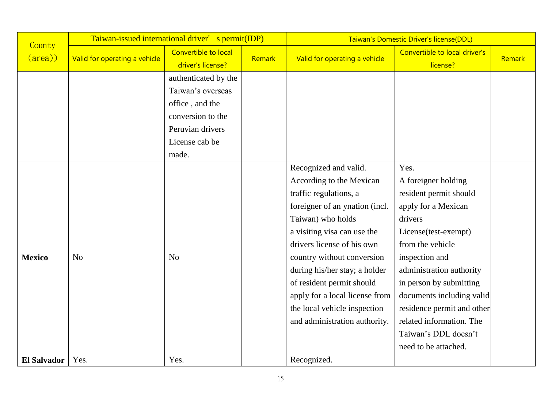| County             | Taiwan-issued international driver' s permit(IDP) |                                           |        | Taiwan's Domestic Driver's license(DDL) |                                           |        |  |
|--------------------|---------------------------------------------------|-------------------------------------------|--------|-----------------------------------------|-------------------------------------------|--------|--|
| $(\text{area})$    | Valid for operating a vehicle                     | Convertible to local<br>driver's license? | Remark | Valid for operating a vehicle           | Convertible to local driver's<br>license? | Remark |  |
|                    |                                                   | authenticated by the                      |        |                                         |                                           |        |  |
|                    |                                                   | Taiwan's overseas                         |        |                                         |                                           |        |  |
|                    |                                                   | office, and the                           |        |                                         |                                           |        |  |
|                    |                                                   | conversion to the                         |        |                                         |                                           |        |  |
|                    |                                                   | Peruvian drivers                          |        |                                         |                                           |        |  |
|                    |                                                   | License cab be                            |        |                                         |                                           |        |  |
|                    |                                                   | made.                                     |        |                                         |                                           |        |  |
|                    |                                                   |                                           |        | Recognized and valid.                   | Yes.                                      |        |  |
|                    |                                                   |                                           |        | According to the Mexican                | A foreigner holding                       |        |  |
|                    |                                                   |                                           |        | traffic regulations, a                  | resident permit should                    |        |  |
|                    |                                                   |                                           |        | foreigner of an ynation (incl.          | apply for a Mexican                       |        |  |
|                    |                                                   |                                           |        | Taiwan) who holds                       | drivers                                   |        |  |
|                    |                                                   |                                           |        | a visiting visa can use the             | License(test-exempt)                      |        |  |
|                    |                                                   |                                           |        | drivers license of his own              | from the vehicle                          |        |  |
| <b>Mexico</b>      | N <sub>o</sub>                                    | N <sub>o</sub>                            |        | country without conversion              | inspection and                            |        |  |
|                    |                                                   |                                           |        | during his/her stay; a holder           | administration authority                  |        |  |
|                    |                                                   |                                           |        | of resident permit should               | in person by submitting                   |        |  |
|                    |                                                   |                                           |        | apply for a local license from          | documents including valid                 |        |  |
|                    |                                                   |                                           |        | the local vehicle inspection            | residence permit and other                |        |  |
|                    |                                                   |                                           |        | and administration authority.           | related information. The                  |        |  |
|                    |                                                   |                                           |        |                                         | Taiwan's DDL doesn't                      |        |  |
|                    |                                                   |                                           |        |                                         | need to be attached.                      |        |  |
| <b>El Salvador</b> | Yes.                                              | Yes.                                      |        | Recognized.                             |                                           |        |  |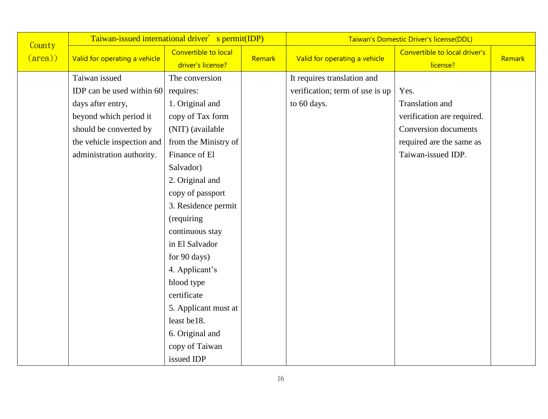| County          | Taiwan-issued international driver' s permit(IDP) |                                           |        | Taiwan's Domestic Driver's license(DDL) |                                           |        |  |
|-----------------|---------------------------------------------------|-------------------------------------------|--------|-----------------------------------------|-------------------------------------------|--------|--|
| $(\text{area})$ | Valid for operating a vehicle                     | Convertible to local<br>driver's license? | Remark | Valid for operating a vehicle           | Convertible to local driver's<br>license? | Remark |  |
|                 | Taiwan issued                                     | The conversion                            |        | It requires translation and             |                                           |        |  |
|                 | IDP can be used within 60                         | requires:                                 |        | verification; term of use is up         | Yes.                                      |        |  |
|                 | days after entry,                                 | 1. Original and                           |        | to 60 days.                             | Translation and                           |        |  |
|                 | beyond which period it                            | copy of Tax form                          |        |                                         | verification are required.                |        |  |
|                 | should be converted by                            | (NIT) (available                          |        |                                         | <b>Conversion documents</b>               |        |  |
|                 | the vehicle inspection and                        | from the Ministry of                      |        |                                         | required are the same as                  |        |  |
|                 | administration authority.                         | Finance of El                             |        |                                         | Taiwan-issued IDP.                        |        |  |
|                 |                                                   | Salvador)                                 |        |                                         |                                           |        |  |
|                 |                                                   | 2. Original and                           |        |                                         |                                           |        |  |
|                 |                                                   | copy of passport                          |        |                                         |                                           |        |  |
|                 |                                                   | 3. Residence permit                       |        |                                         |                                           |        |  |
|                 |                                                   | (requiring                                |        |                                         |                                           |        |  |
|                 |                                                   | continuous stay                           |        |                                         |                                           |        |  |
|                 |                                                   | in El Salvador                            |        |                                         |                                           |        |  |
|                 |                                                   | for 90 days)                              |        |                                         |                                           |        |  |
|                 |                                                   | 4. Applicant's                            |        |                                         |                                           |        |  |
|                 |                                                   | blood type                                |        |                                         |                                           |        |  |
|                 |                                                   | certificate                               |        |                                         |                                           |        |  |
|                 |                                                   | 5. Applicant must at                      |        |                                         |                                           |        |  |
|                 |                                                   | least be18.                               |        |                                         |                                           |        |  |
|                 |                                                   | 6. Original and                           |        |                                         |                                           |        |  |
|                 |                                                   | copy of Taiwan                            |        |                                         |                                           |        |  |
|                 |                                                   | issued IDP                                |        |                                         |                                           |        |  |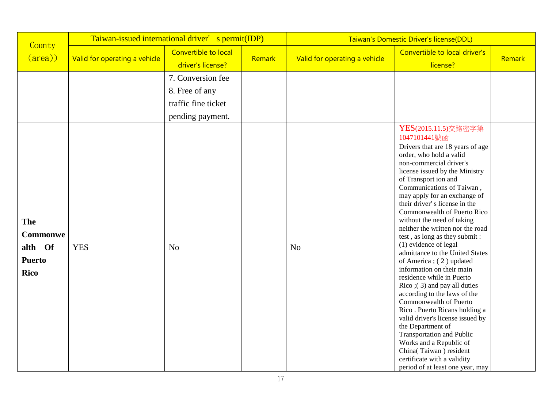| County                                                     | Taiwan-issued international driver' s permit(IDP) |                                                                                                  |        | Taiwan's Domestic Driver's license(DDL) |                                                                                                                                                                                                                                                                                                                                                                                                                                                                                                                                                                                                                                                                                                                                                                                                                                                        |        |  |
|------------------------------------------------------------|---------------------------------------------------|--------------------------------------------------------------------------------------------------|--------|-----------------------------------------|--------------------------------------------------------------------------------------------------------------------------------------------------------------------------------------------------------------------------------------------------------------------------------------------------------------------------------------------------------------------------------------------------------------------------------------------------------------------------------------------------------------------------------------------------------------------------------------------------------------------------------------------------------------------------------------------------------------------------------------------------------------------------------------------------------------------------------------------------------|--------|--|
| $(\text{area})$                                            | Valid for operating a vehicle                     | Convertible to local<br>driver's license?                                                        | Remark | Valid for operating a vehicle           | Convertible to local driver's<br>license?                                                                                                                                                                                                                                                                                                                                                                                                                                                                                                                                                                                                                                                                                                                                                                                                              | Remark |  |
| The<br>Commonwe<br>alth Of<br><b>Puerto</b><br><b>Rico</b> | <b>YES</b>                                        | 7. Conversion fee<br>8. Free of any<br>traffic fine ticket<br>pending payment.<br>N <sub>o</sub> |        | N <sub>o</sub>                          | YES(2015.11.5)交路密字第<br>1047101441號函<br>Drivers that are 18 years of age<br>order, who hold a valid<br>non-commercial driver's<br>license issued by the Ministry<br>of Transport ion and<br>Communications of Taiwan,<br>may apply for an exchange of<br>their driver's license in the<br>Commonwealth of Puerto Rico<br>without the need of taking<br>neither the written nor the road<br>test, as long as they submit:<br>(1) evidence of legal<br>admittance to the United States<br>of America; (2) updated<br>information on their main<br>residence while in Puerto<br>Rico $(3)$ and pay all duties<br>according to the laws of the<br>Commonwealth of Puerto<br>Rico. Puerto Ricans holding a<br>valid driver's license issued by<br>the Department of<br><b>Transportation and Public</b><br>Works and a Republic of<br>China(Taiwan) resident |        |  |
|                                                            |                                                   |                                                                                                  |        |                                         | certificate with a validity<br>period of at least one year, may                                                                                                                                                                                                                                                                                                                                                                                                                                                                                                                                                                                                                                                                                                                                                                                        |        |  |